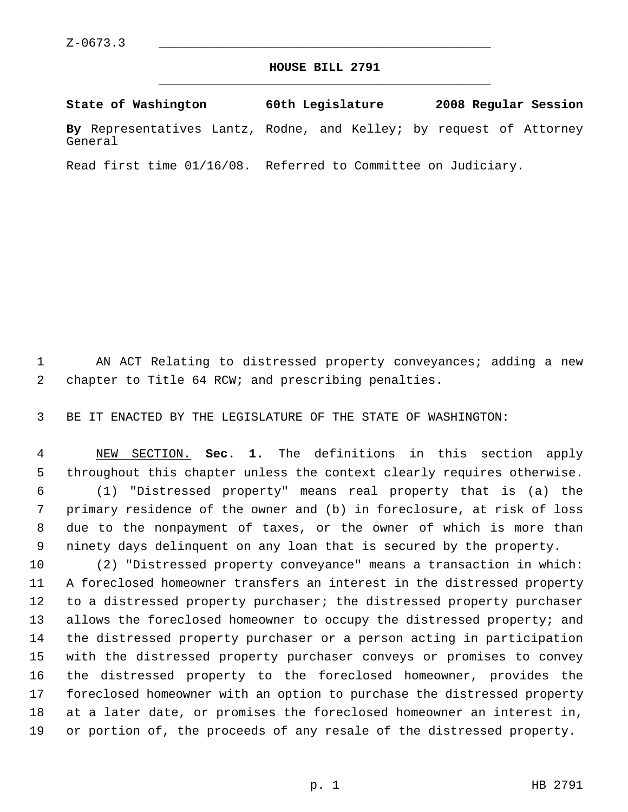## **HOUSE BILL 2791** \_\_\_\_\_\_\_\_\_\_\_\_\_\_\_\_\_\_\_\_\_\_\_\_\_\_\_\_\_\_\_\_\_\_\_\_\_\_\_\_\_\_\_\_\_

**State of Washington 60th Legislature 2008 Regular Session By** Representatives Lantz, Rodne, and Kelley; by request of Attorney General

Read first time 01/16/08. Referred to Committee on Judiciary.

 AN ACT Relating to distressed property conveyances; adding a new chapter to Title 64 RCW; and prescribing penalties.

BE IT ENACTED BY THE LEGISLATURE OF THE STATE OF WASHINGTON:

 NEW SECTION. **Sec. 1.** The definitions in this section apply throughout this chapter unless the context clearly requires otherwise. (1) "Distressed property" means real property that is (a) the primary residence of the owner and (b) in foreclosure, at risk of loss due to the nonpayment of taxes, or the owner of which is more than ninety days delinquent on any loan that is secured by the property.

 (2) "Distressed property conveyance" means a transaction in which: A foreclosed homeowner transfers an interest in the distressed property to a distressed property purchaser; the distressed property purchaser 13 allows the foreclosed homeowner to occupy the distressed property; and the distressed property purchaser or a person acting in participation with the distressed property purchaser conveys or promises to convey the distressed property to the foreclosed homeowner, provides the foreclosed homeowner with an option to purchase the distressed property at a later date, or promises the foreclosed homeowner an interest in, or portion of, the proceeds of any resale of the distressed property.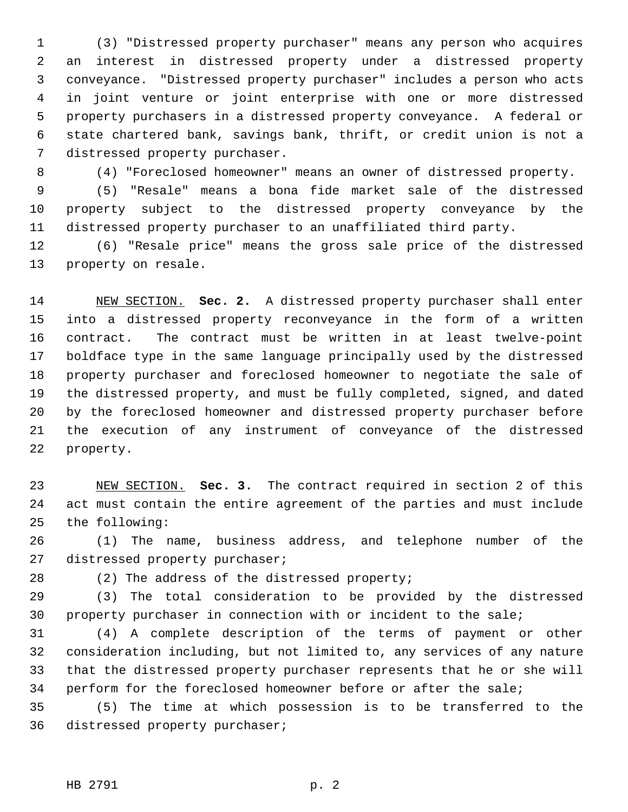(3) "Distressed property purchaser" means any person who acquires an interest in distressed property under a distressed property conveyance. "Distressed property purchaser" includes a person who acts in joint venture or joint enterprise with one or more distressed property purchasers in a distressed property conveyance. A federal or state chartered bank, savings bank, thrift, or credit union is not a distressed property purchaser.

(4) "Foreclosed homeowner" means an owner of distressed property.

 (5) "Resale" means a bona fide market sale of the distressed property subject to the distressed property conveyance by the distressed property purchaser to an unaffiliated third party.

 (6) "Resale price" means the gross sale price of the distressed property on resale.

 NEW SECTION. **Sec. 2.** A distressed property purchaser shall enter into a distressed property reconveyance in the form of a written contract. The contract must be written in at least twelve-point boldface type in the same language principally used by the distressed property purchaser and foreclosed homeowner to negotiate the sale of the distressed property, and must be fully completed, signed, and dated by the foreclosed homeowner and distressed property purchaser before the execution of any instrument of conveyance of the distressed property.

 NEW SECTION. **Sec. 3.** The contract required in section 2 of this act must contain the entire agreement of the parties and must include the following:

 (1) The name, business address, and telephone number of the distressed property purchaser;

(2) The address of the distressed property;

 (3) The total consideration to be provided by the distressed property purchaser in connection with or incident to the sale;

 (4) A complete description of the terms of payment or other consideration including, but not limited to, any services of any nature that the distressed property purchaser represents that he or she will perform for the foreclosed homeowner before or after the sale;

 (5) The time at which possession is to be transferred to the distressed property purchaser;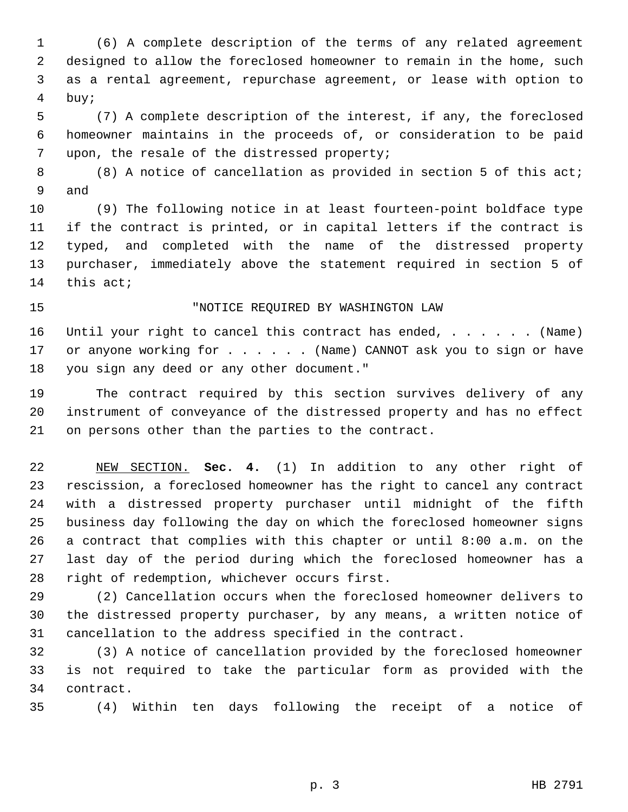(6) A complete description of the terms of any related agreement designed to allow the foreclosed homeowner to remain in the home, such as a rental agreement, repurchase agreement, or lease with option to buy;

 (7) A complete description of the interest, if any, the foreclosed homeowner maintains in the proceeds of, or consideration to be paid upon, the resale of the distressed property;

8 (8) A notice of cancellation as provided in section 5 of this act; and

 (9) The following notice in at least fourteen-point boldface type if the contract is printed, or in capital letters if the contract is typed, and completed with the name of the distressed property purchaser, immediately above the statement required in section 5 of this act;

## "NOTICE REQUIRED BY WASHINGTON LAW

16 Until your right to cancel this contract has ended, . . . . . . (Name) 17 or anyone working for . . . . . (Name) CANNOT ask you to sign or have you sign any deed or any other document."

 The contract required by this section survives delivery of any instrument of conveyance of the distressed property and has no effect on persons other than the parties to the contract.

 NEW SECTION. **Sec. 4.** (1) In addition to any other right of rescission, a foreclosed homeowner has the right to cancel any contract with a distressed property purchaser until midnight of the fifth business day following the day on which the foreclosed homeowner signs a contract that complies with this chapter or until 8:00 a.m. on the last day of the period during which the foreclosed homeowner has a right of redemption, whichever occurs first.

 (2) Cancellation occurs when the foreclosed homeowner delivers to the distressed property purchaser, by any means, a written notice of cancellation to the address specified in the contract.

 (3) A notice of cancellation provided by the foreclosed homeowner is not required to take the particular form as provided with the contract.

(4) Within ten days following the receipt of a notice of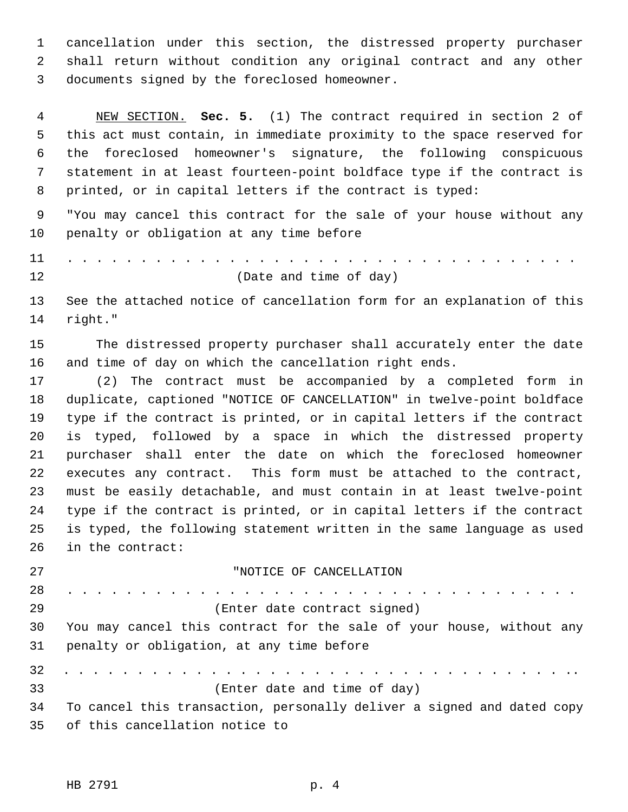cancellation under this section, the distressed property purchaser shall return without condition any original contract and any other documents signed by the foreclosed homeowner.

 NEW SECTION. **Sec. 5.** (1) The contract required in section 2 of this act must contain, in immediate proximity to the space reserved for the foreclosed homeowner's signature, the following conspicuous statement in at least fourteen-point boldface type if the contract is printed, or in capital letters if the contract is typed:

 "You may cancel this contract for the sale of your house without any penalty or obligation at any time before

11 . . . . . . . . . . . . . . . . . . . . . . . . . . . . . . . . . . . (Date and time of day)

 See the attached notice of cancellation form for an explanation of this right."

 The distressed property purchaser shall accurately enter the date and time of day on which the cancellation right ends.

 (2) The contract must be accompanied by a completed form in duplicate, captioned "NOTICE OF CANCELLATION" in twelve-point boldface type if the contract is printed, or in capital letters if the contract is typed, followed by a space in which the distressed property purchaser shall enter the date on which the foreclosed homeowner executes any contract. This form must be attached to the contract, must be easily detachable, and must contain in at least twelve-point type if the contract is printed, or in capital letters if the contract is typed, the following statement written in the same language as used in the contract:

 "NOTICE OF CANCELLATION 28 . . . . . . . . . . . . . . . . . . . . . . . . . . . . . . . . . . . (Enter date contract signed) You may cancel this contract for the sale of your house, without any penalty or obligation, at any time before 32 . . . . . . . . . . . . . . . . . . . . . . . . . . . . . . . . . . .. (Enter date and time of day) To cancel this transaction, personally deliver a signed and dated copy of this cancellation notice to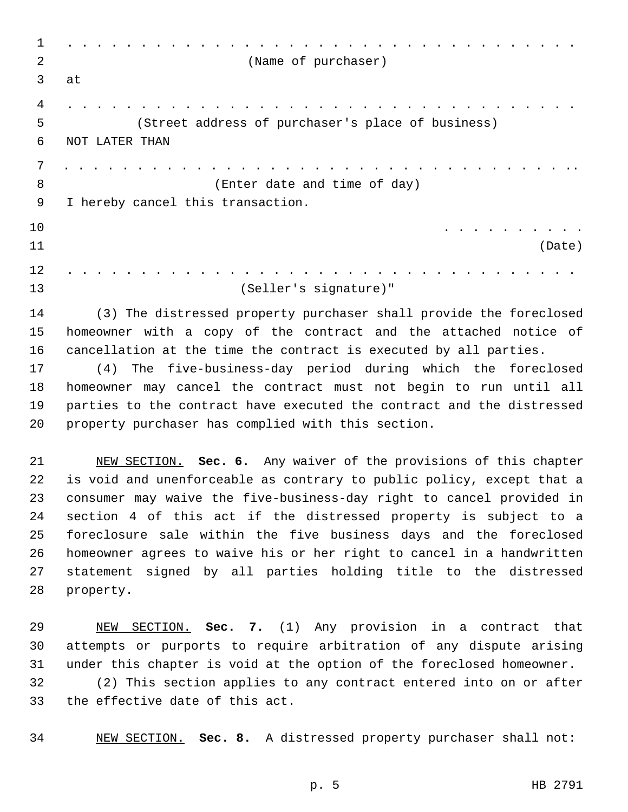| $\mathbf 1$    |                                                                       |
|----------------|-----------------------------------------------------------------------|
| 2              | (Name of purchaser)                                                   |
| 3              | at                                                                    |
| 4              |                                                                       |
| 5              | (Street address of purchaser's place of business)                     |
| 6              | NOT LATER THAN                                                        |
| $\overline{7}$ |                                                                       |
| 8              | (Enter date and time of day)                                          |
| 9              | I hereby cancel this transaction.                                     |
| 10             |                                                                       |
| 11             | (Date)                                                                |
| 12             |                                                                       |
| 13             | (Seller's signature)"                                                 |
| 14             | (3) The distressed property purchaser shall provide the foreclosed    |
| 15             | homeowner with a copy of the contract and the attached notice of      |
| 16             | cancellation at the time the contract is executed by all parties.     |
| 17             | The five-business-day period during which the foreclosed<br>(4)       |
| 18             | homeowner may cancel the contract must not begin to run until all     |
| 19             | parties to the contract have executed the contract and the distressed |
| 20             | property purchaser has complied with this section.                    |
|                |                                                                       |
|                |                                                                       |

 NEW SECTION. **Sec. 6.** Any waiver of the provisions of this chapter is void and unenforceable as contrary to public policy, except that a consumer may waive the five-business-day right to cancel provided in section 4 of this act if the distressed property is subject to a foreclosure sale within the five business days and the foreclosed homeowner agrees to waive his or her right to cancel in a handwritten statement signed by all parties holding title to the distressed property.

 NEW SECTION. **Sec. 7.** (1) Any provision in a contract that attempts or purports to require arbitration of any dispute arising under this chapter is void at the option of the foreclosed homeowner. (2) This section applies to any contract entered into on or after the effective date of this act.

NEW SECTION. **Sec. 8.** A distressed property purchaser shall not: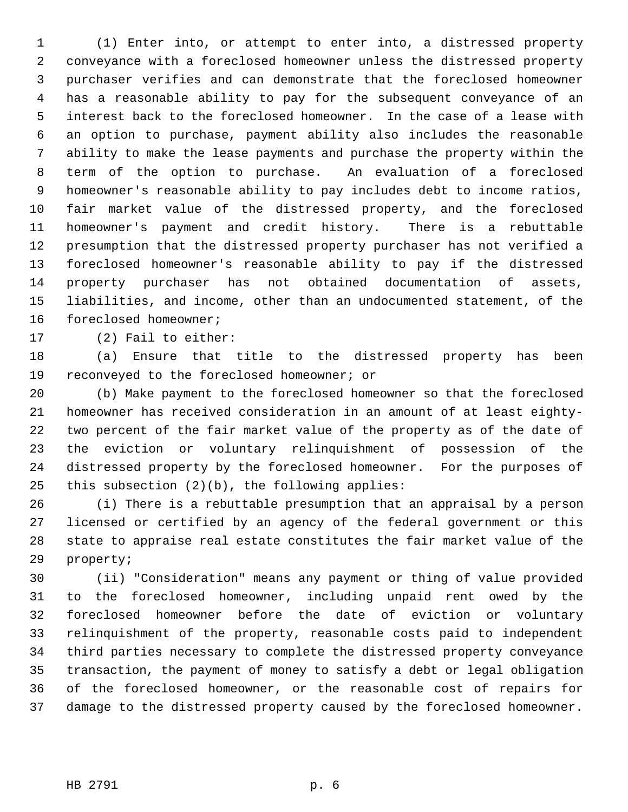(1) Enter into, or attempt to enter into, a distressed property conveyance with a foreclosed homeowner unless the distressed property purchaser verifies and can demonstrate that the foreclosed homeowner has a reasonable ability to pay for the subsequent conveyance of an interest back to the foreclosed homeowner. In the case of a lease with an option to purchase, payment ability also includes the reasonable ability to make the lease payments and purchase the property within the term of the option to purchase. An evaluation of a foreclosed homeowner's reasonable ability to pay includes debt to income ratios, fair market value of the distressed property, and the foreclosed homeowner's payment and credit history. There is a rebuttable presumption that the distressed property purchaser has not verified a foreclosed homeowner's reasonable ability to pay if the distressed property purchaser has not obtained documentation of assets, liabilities, and income, other than an undocumented statement, of the foreclosed homeowner;

(2) Fail to either:

 (a) Ensure that title to the distressed property has been reconveyed to the foreclosed homeowner; or

 (b) Make payment to the foreclosed homeowner so that the foreclosed homeowner has received consideration in an amount of at least eighty- two percent of the fair market value of the property as of the date of the eviction or voluntary relinquishment of possession of the distressed property by the foreclosed homeowner. For the purposes of this subsection (2)(b), the following applies:

 (i) There is a rebuttable presumption that an appraisal by a person licensed or certified by an agency of the federal government or this state to appraise real estate constitutes the fair market value of the property;

 (ii) "Consideration" means any payment or thing of value provided to the foreclosed homeowner, including unpaid rent owed by the foreclosed homeowner before the date of eviction or voluntary relinquishment of the property, reasonable costs paid to independent third parties necessary to complete the distressed property conveyance transaction, the payment of money to satisfy a debt or legal obligation of the foreclosed homeowner, or the reasonable cost of repairs for damage to the distressed property caused by the foreclosed homeowner.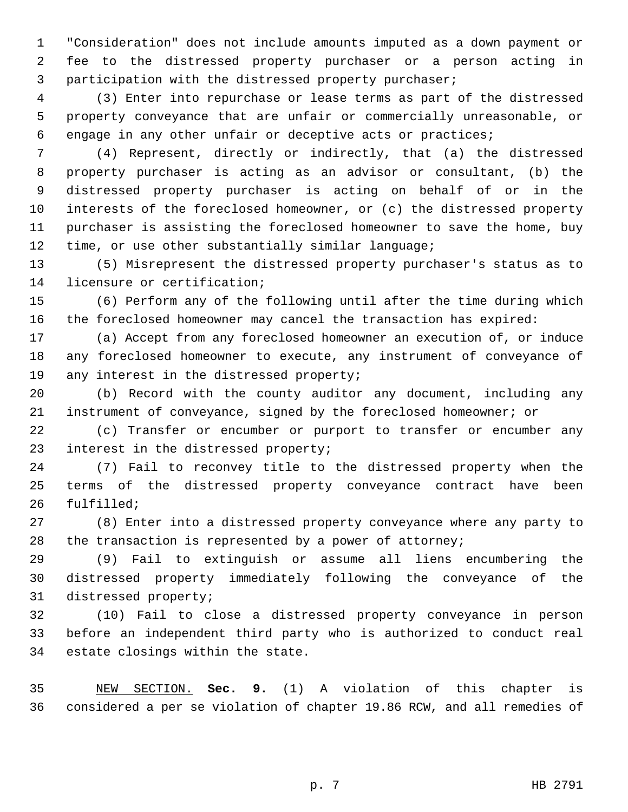"Consideration" does not include amounts imputed as a down payment or fee to the distressed property purchaser or a person acting in participation with the distressed property purchaser;

 (3) Enter into repurchase or lease terms as part of the distressed property conveyance that are unfair or commercially unreasonable, or engage in any other unfair or deceptive acts or practices;

 (4) Represent, directly or indirectly, that (a) the distressed property purchaser is acting as an advisor or consultant, (b) the distressed property purchaser is acting on behalf of or in the interests of the foreclosed homeowner, or (c) the distressed property purchaser is assisting the foreclosed homeowner to save the home, buy time, or use other substantially similar language;

 (5) Misrepresent the distressed property purchaser's status as to licensure or certification;

 (6) Perform any of the following until after the time during which the foreclosed homeowner may cancel the transaction has expired:

 (a) Accept from any foreclosed homeowner an execution of, or induce any foreclosed homeowner to execute, any instrument of conveyance of 19 any interest in the distressed property;

 (b) Record with the county auditor any document, including any instrument of conveyance, signed by the foreclosed homeowner; or

 (c) Transfer or encumber or purport to transfer or encumber any interest in the distressed property;

 (7) Fail to reconvey title to the distressed property when the terms of the distressed property conveyance contract have been fulfilled;

 (8) Enter into a distressed property conveyance where any party to the transaction is represented by a power of attorney;

 (9) Fail to extinguish or assume all liens encumbering the distressed property immediately following the conveyance of the distressed property;

 (10) Fail to close a distressed property conveyance in person before an independent third party who is authorized to conduct real estate closings within the state.

 NEW SECTION. **Sec. 9.** (1) A violation of this chapter is considered a per se violation of chapter 19.86 RCW, and all remedies of